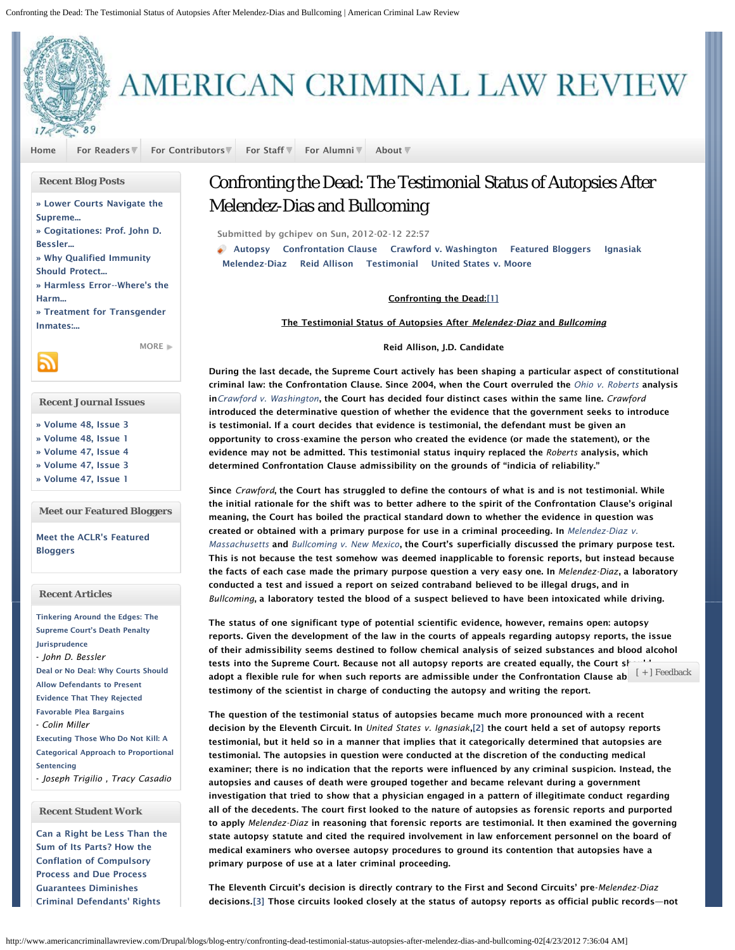<span id="page-0-0"></span>

# AMERICAN CRIMINAL LAW REVIEW

[Home](http://www.americancriminallawreview.com/Drupal/aclr-blog) [For Readers](http://www.americancriminallawreview.com/Drupal/) [For Contributors](http://www.americancriminallawreview.com/Drupal/page/submissions) [For Staff](http://www.americancriminallawreview.com/Drupal/) [For Alumni](http://www.americancriminallawreview.com/Drupal/) [About](http://www.americancriminallawreview.com/Drupal/page/about-us)

## **Recent Blog Posts**

[» Lower Courts Navigate the](http://www.americancriminallawreview.com/Drupal/blogs/blog-entry/lower-courts-navigate-supreme-court%E2%80%99s-decision-united-states-v-jones-04-16-2012) [Supreme...](http://www.americancriminallawreview.com/Drupal/blogs/blog-entry/lower-courts-navigate-supreme-court%E2%80%99s-decision-united-states-v-jones-04-16-2012)

[» Cogitationes: Prof. John D.](http://www.americancriminallawreview.com/Drupal/blogs/blog-entry/cogitationes-prof-john-d-bessler-tinkering-around-edges-supreme-courts-death-penalt) [Bessler...](http://www.americancriminallawreview.com/Drupal/blogs/blog-entry/cogitationes-prof-john-d-bessler-tinkering-around-edges-supreme-courts-death-penalt)

[» Why Qualified Immunity](http://www.americancriminallawreview.com/Drupal/blogs/blog-entry/why-qualified-immunity-should-protect-employees-child-protective-service-agencies-c) [Should Protect...](http://www.americancriminallawreview.com/Drupal/blogs/blog-entry/why-qualified-immunity-should-protect-employees-child-protective-service-agencies-c)

[» Harmless Error--Where's the](http://www.americancriminallawreview.com/Drupal/blogs/blog-entry/harmless-error-wheres-harm-03-21-2012) [Harm...](http://www.americancriminallawreview.com/Drupal/blogs/blog-entry/harmless-error-wheres-harm-03-21-2012)

<span id="page-0-1"></span>[» Treatment for Transgender](http://www.americancriminallawreview.com/Drupal/blogs/blog-entry/treatment-transgender-inmates-adapting-8th-amendment-21st-century-concerns-03-18-20) [Inmates:...](http://www.americancriminallawreview.com/Drupal/blogs/blog-entry/treatment-transgender-inmates-adapting-8th-amendment-21st-century-concerns-03-18-20)

[MORE](http://www.americancriminallawreview.com/Drupal/aclr-blog)<sup>11</sup>

**Recent Journal Issues**

- [» Volume 48, Issue 3](http://www.americancriminallawreview.com/Drupal/journal-issue/volume-48-issue-3)
- [» Volume 48, Issue 1](http://www.americancriminallawreview.com/Drupal/journal-issue/volume-48-issue-1)
- [» Volume 47, Issue 4](http://www.americancriminallawreview.com/Drupal/journal-issue/volume-47-issue-4)
- [» Volume 47, Issue 3](http://www.americancriminallawreview.com/Drupal/journal-issue/volume-47-issue-3)
- [» Volume 47, Issue 1](http://www.americancriminallawreview.com/Drupal/journal-issue/volume-47-issue-1)

**Meet our Featured Bloggers**

[Meet the ACLR's Featured](http://www.americancriminallawreview.com/Drupal/page/meet-our-featured-bloggers) **[Bloggers](http://www.americancriminallawreview.com/Drupal/page/meet-our-featured-bloggers)** 

# **Recent Articles**

[Tinkering Around the Edges: The](http://www.americancriminallawreview.com/Drupal/content/tinkering-around-edges-supreme-court%E2%80%99s-death-penalty-jurisprudence) [Supreme Court's Death Penalty](http://www.americancriminallawreview.com/Drupal/content/tinkering-around-edges-supreme-court%E2%80%99s-death-penalty-jurisprudence) [Jurisprudence](http://www.americancriminallawreview.com/Drupal/content/tinkering-around-edges-supreme-court%E2%80%99s-death-penalty-jurisprudence) - *John D. Bessler* [Deal or No Deal: Why Courts Should](http://www.americancriminallawreview.com/Drupal/content/deal-or-no-deal-why-courts-should-allow-defendants-present-evidence-they-rejected-favorabl-0) [Allow Defendants to Present](http://www.americancriminallawreview.com/Drupal/content/deal-or-no-deal-why-courts-should-allow-defendants-present-evidence-they-rejected-favorabl-0) [Evidence That They Rejected](http://www.americancriminallawreview.com/Drupal/content/deal-or-no-deal-why-courts-should-allow-defendants-present-evidence-they-rejected-favorabl-0) [Favorable Plea Bargains](http://www.americancriminallawreview.com/Drupal/content/deal-or-no-deal-why-courts-should-allow-defendants-present-evidence-they-rejected-favorabl-0) - *Colin Miller* [Executing Those Who Do Not Kill: A](http://www.americancriminallawreview.com/Drupal/content/executing-those-who-do-not-kill-categorical-approach-proportional-sentencing-0) [Categorical Approach to Proportional](http://www.americancriminallawreview.com/Drupal/content/executing-those-who-do-not-kill-categorical-approach-proportional-sentencing-0) [Sentencing](http://www.americancriminallawreview.com/Drupal/content/executing-those-who-do-not-kill-categorical-approach-proportional-sentencing-0) - *Joseph Trigilio , Tracy Casadio*

# <span id="page-0-2"></span>**Recent Student Work**

<span id="page-0-3"></span>[Can a Right be Less Than the](http://www.americancriminallawreview.com/Drupal/content/can-right-be-less-sum-its-parts-how-conflation-compulsory-process-and-due-process-guarante-0) [Sum of Its Parts? How the](http://www.americancriminallawreview.com/Drupal/content/can-right-be-less-sum-its-parts-how-conflation-compulsory-process-and-due-process-guarante-0) [Conflation of Compulsory](http://www.americancriminallawreview.com/Drupal/content/can-right-be-less-sum-its-parts-how-conflation-compulsory-process-and-due-process-guarante-0) [Process and Due Process](http://www.americancriminallawreview.com/Drupal/content/can-right-be-less-sum-its-parts-how-conflation-compulsory-process-and-due-process-guarante-0) [Guarantees Diminishes](http://www.americancriminallawreview.com/Drupal/content/can-right-be-less-sum-its-parts-how-conflation-compulsory-process-and-due-process-guarante-0) [Criminal Defendants' Rights](http://www.americancriminallawreview.com/Drupal/content/can-right-be-less-sum-its-parts-how-conflation-compulsory-process-and-due-process-guarante-0)

# Confronting the Dead: The Testimonial Status of Autopsies After Melendez-Dias and Bullcoming

Submitted by gchipev on Sun, 2012-02-12 22:57

[Autopsy](http://www.americancriminallawreview.com/Drupal/category/tags/autopsy) [Confrontation Clause](http://www.americancriminallawreview.com/Drupal/category/tags/confrontation-clause) [Crawford v. Washington](http://www.americancriminallawreview.com/Drupal/category/tags/crawford-v-washington) [Featured Bloggers](http://www.americancriminallawreview.com/Drupal/category/tags/featured-bloggers) [Ignasiak](http://www.americancriminallawreview.com/Drupal/category/tags/ignasiak) [Melendez-Diaz](http://www.americancriminallawreview.com/Drupal/category/tags/melendez-diaz) [Reid Allison](http://www.americancriminallawreview.com/Drupal/category/tags/reid-allison) [Testimonial](http://www.americancriminallawreview.com/Drupal/category/tags/testimonial) [United States v. Moore](http://www.americancriminallawreview.com/Drupal/category/tags/united-states-v-moore)

### Confronting the Dead:[\[1\]](#page-2-0)

The Testimonial Status of Autopsies After *Melendez-Diaz* and *Bullcoming*

### Reid Allison, J.D. Candidate

During the last decade, the Supreme Court actively has been shaping a particular aspect of constitutional criminal law: the Confrontation Clause. Since 2004, when the Court overruled the *[Ohio v. Roberts](http://www.law.cornell.edu/supct/html/historics/USSC_CR_0448_0056_ZS.html)* analysis in*[Crawford v. Washington](http://www.law.cornell.edu/supct/html/02-9410.ZO.html)*, the Court has decided four distinct cases within the same line. *Crawford* introduced the determinative question of whether the evidence that the government seeks to introduce is testimonial. If a court decides that evidence is testimonial, the defendant must be given an opportunity to cross-examine the person who created the evidence (or made the statement), or the evidence may not be admitted. This testimonial status inquiry replaced the *Roberts* analysis, which determined Confrontation Clause admissibility on the grounds of "indicia of reliability."

Since *Crawford*, the Court has struggled to define the contours of what is and is not testimonial. While the initial rationale for the shift was to better adhere to the spirit of the Confrontation Clause's original meaning, the Court has boiled the practical standard down to whether the evidence in question was created or obtained with a primary purpose for use in a criminal proceeding. In *[Melendez-Diaz v.](http://www.law.cornell.edu/supct/html/07-591.ZS.html) [Massachusetts](http://www.law.cornell.edu/supct/html/07-591.ZS.html)* and *[Bullcoming v. New Mexico](http://www.law.cornell.edu/supct/html/9-10876.ZS.html)*, the Court's superficially discussed the primary purpose test. This is not because the test somehow was deemed inapplicable to forensic reports, but instead because the facts of each case made the primary purpose question a very easy one. In *Melendez-Diaz*, a laboratory conducted a test and issued a report on seized contraband believed to be illegal drugs, and in *Bullcoming*, a laboratory tested the blood of a suspect believed to have been intoxicated while driving.

The status of one significant type of potential scientific evidence, however, remains open: autopsy reports. Given the development of the law in the courts of appeals regarding autopsy reports, the issue of their admissibility seems destined to follow chemical analysis of seized substances and blood alcohol tests into the Supreme Court. Because not all autopsy reports are created equally, the Court should adopt a flexible rule for when such reports are admissible under the Confrontation Clause ab  $\left[+\right]$   $\text{Feedback}$ testimony of the scientist in charge of conducting the autopsy and writing the report.

The question of the testimonial status of autopsies became much more pronounced with a recent decision by the Eleventh Circuit. In *United States v. Ignasiak*,[\[2\]](#page-2-1) the court held a set of autopsy reports testimonial, but it held so in a manner that implies that it categorically determined that autopsies are testimonial. The autopsies in question were conducted at the discretion of the conducting medical examiner; there is no indication that the reports were influenced by any criminal suspicion. Instead, the autopsies and causes of death were grouped together and became relevant during a government investigation that tried to show that a physician engaged in a pattern of illegitimate conduct regarding all of the decedents. The court first looked to the nature of autopsies as forensic reports and purported to apply *Melendez-Diaz* in reasoning that forensic reports are testimonial. It then examined the governing state autopsy statute and cited the required involvement in law enforcement personnel on the board of medical examiners who oversee autopsy procedures to ground its contention that autopsies have a primary purpose of use at a later criminal proceeding.

The Eleventh Circuit's decision is directly contrary to the First and Second Circuits' pre-*Melendez-Diaz* decisions.[\[3\]](#page-2-2) Those circuits looked closely at the status of autopsy reports as official public records—not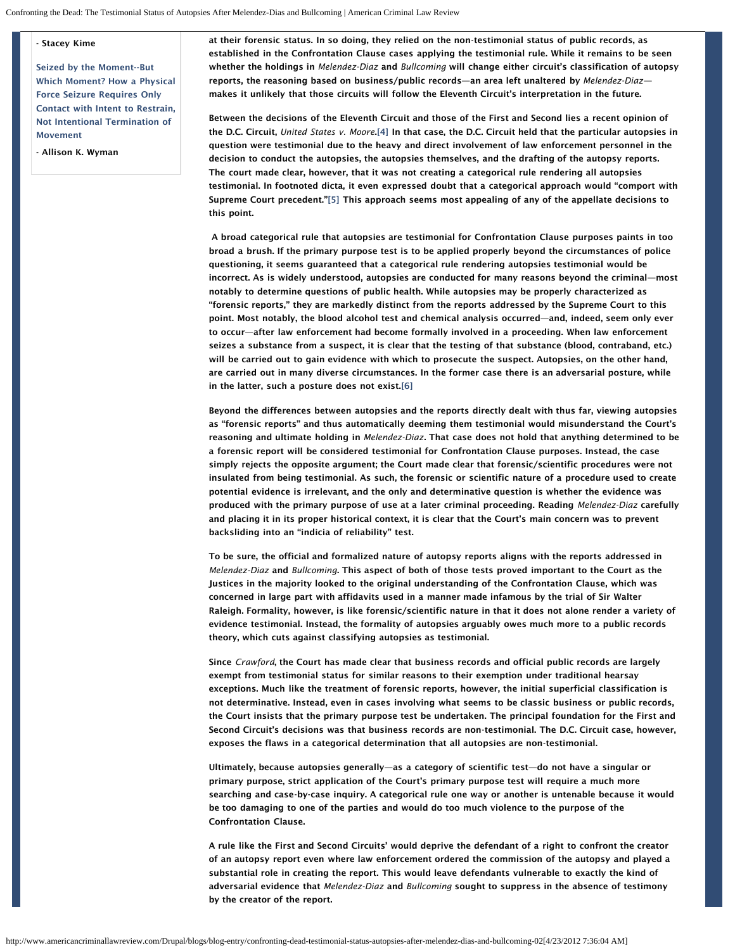#### - Stacey Kime

[Seized by the Moment--But](http://www.americancriminallawreview.com/Drupal/content/seized-moment-which-moment-how-physical-force-seizure-requires-only-contact-intent-restrai-0) [Which Moment? How a Physical](http://www.americancriminallawreview.com/Drupal/content/seized-moment-which-moment-how-physical-force-seizure-requires-only-contact-intent-restrai-0) [Force Seizure Requires Only](http://www.americancriminallawreview.com/Drupal/content/seized-moment-which-moment-how-physical-force-seizure-requires-only-contact-intent-restrai-0) [Contact with Intent to Restrain,](http://www.americancriminallawreview.com/Drupal/content/seized-moment-which-moment-how-physical-force-seizure-requires-only-contact-intent-restrai-0) [Not Intentional Termination of](http://www.americancriminallawreview.com/Drupal/content/seized-moment-which-moment-how-physical-force-seizure-requires-only-contact-intent-restrai-0) [Movement](http://www.americancriminallawreview.com/Drupal/content/seized-moment-which-moment-how-physical-force-seizure-requires-only-contact-intent-restrai-0)

<span id="page-1-1"></span><span id="page-1-0"></span>- Allison K. Wyman

at their forensic status. In so doing, they relied on the non-testimonial status of public records, as established in the Confrontation Clause cases applying the testimonial rule. While it remains to be seen whether the holdings in *Melendez-Diaz* and *Bullcoming* will change either circuit's classification of autopsy reports, the reasoning based on business/public records—an area left unaltered by *Melendez-Diaz* makes it unlikely that those circuits will follow the Eleventh Circuit's interpretation in the future.

Between the decisions of the Eleventh Circuit and those of the First and Second lies a recent opinion of the D.C. Circuit, *United States v. Moore*[.\[4\]](#page-2-3) In that case, the D.C. Circuit held that the particular autopsies in question were testimonial due to the heavy and direct involvement of law enforcement personnel in the decision to conduct the autopsies, the autopsies themselves, and the drafting of the autopsy reports. The court made clear, however, that it was not creating a categorical rule rendering all autopsies testimonial. In footnoted dicta, it even expressed doubt that a categorical approach would "comport with Supreme Court precedent.["\[5\]](#page-2-4) This approach seems most appealing of any of the appellate decisions to this point.

A broad categorical rule that autopsies are testimonial for Confrontation Clause purposes paints in too broad a brush. If the primary purpose test is to be applied properly beyond the circumstances of police questioning, it seems guaranteed that a categorical rule rendering autopsies testimonial would be incorrect. As is widely understood, autopsies are conducted for many reasons beyond the criminal—most notably to determine questions of public health. While autopsies may be properly characterized as "forensic reports," they are markedly distinct from the reports addressed by the Supreme Court to this point. Most notably, the blood alcohol test and chemical analysis occurred—and, indeed, seem only ever to occur—after law enforcement had become formally involved in a proceeding. When law enforcement seizes a substance from a suspect, it is clear that the testing of that substance (blood, contraband, etc.) will be carried out to gain evidence with which to prosecute the suspect. Autopsies, on the other hand, are carried out in many diverse circumstances. In the former case there is an adversarial posture, while in the latter, such a posture does not exist[.\[6\]](#page-2-5)

<span id="page-1-2"></span>Beyond the differences between autopsies and the reports directly dealt with thus far, viewing autopsies as "forensic reports" and thus automatically deeming them testimonial would misunderstand the Court's reasoning and ultimate holding in *Melendez-Diaz*. That case does not hold that anything determined to be a forensic report will be considered testimonial for Confrontation Clause purposes. Instead, the case simply rejects the opposite argument; the Court made clear that forensic/scientific procedures were not insulated from being testimonial. As such, the forensic or scientific nature of a procedure used to create potential evidence is irrelevant, and the only and determinative question is whether the evidence was produced with the primary purpose of use at a later criminal proceeding. Reading *Melendez-Diaz* carefully and placing it in its proper historical context, it is clear that the Court's main concern was to prevent backsliding into an "indicia of reliability" test.

To be sure, the official and formalized nature of autopsy reports aligns with the reports addressed in *Melendez-Diaz* and *Bullcoming*. This aspect of both of those tests proved important to the Court as the Justices in the majority looked to the original understanding of the Confrontation Clause, which was concerned in large part with affidavits used in a manner made infamous by the trial of Sir Walter Raleigh. Formality, however, is like forensic/scientific nature in that it does not alone render a variety of evidence testimonial. Instead, the formality of autopsies arguably owes much more to a public records theory, which cuts against classifying autopsies as testimonial.

Since *Crawford*, the Court has made clear that business records and official public records are largely exempt from testimonial status for similar reasons to their exemption under traditional hearsay exceptions. Much like the treatment of forensic reports, however, the initial superficial classification is not determinative. Instead, even in cases involving what seems to be classic business or public records, the Court insists that the primary purpose test be undertaken. The principal foundation for the First and Second Circuit's decisions was that business records are non-testimonial. The D.C. Circuit case, however, exposes the flaws in a categorical determination that all autopsies are non-testimonial.

Ultimately, because autopsies generally—as a category of scientific test—do not have a singular or primary purpose, strict application of the Court's primary purpose test will require a much more searching and case-by-case inquiry. A categorical rule one way or another is untenable because it would be too damaging to one of the parties and would do too much violence to the purpose of the Confrontation Clause.

A rule like the First and Second Circuits' would deprive the defendant of a right to confront the creator of an autopsy report even where law enforcement ordered the commission of the autopsy and played a substantial role in creating the report. This would leave defendants vulnerable to exactly the kind of adversarial evidence that *Melendez-Diaz* and *Bullcoming* sought to suppress in the absence of testimony by the creator of the report.